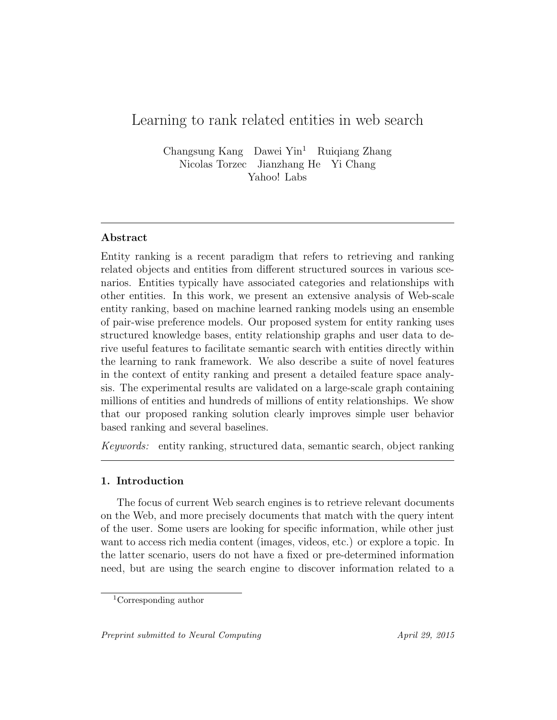# Learning to rank related entities in web search

Changsung Kang Dawei Yin<sup>1</sup> Ruiqiang Zhang Nicolas Torzec Jianzhang He Yi Chang Yahoo! Labs

# Abstract

Entity ranking is a recent paradigm that refers to retrieving and ranking related objects and entities from different structured sources in various scenarios. Entities typically have associated categories and relationships with other entities. In this work, we present an extensive analysis of Web-scale entity ranking, based on machine learned ranking models using an ensemble of pair-wise preference models. Our proposed system for entity ranking uses structured knowledge bases, entity relationship graphs and user data to derive useful features to facilitate semantic search with entities directly within the learning to rank framework. We also describe a suite of novel features in the context of entity ranking and present a detailed feature space analysis. The experimental results are validated on a large-scale graph containing millions of entities and hundreds of millions of entity relationships. We show that our proposed ranking solution clearly improves simple user behavior based ranking and several baselines.

Keywords: entity ranking, structured data, semantic search, object ranking

## 1. Introduction

The focus of current Web search engines is to retrieve relevant documents on the Web, and more precisely documents that match with the query intent of the user. Some users are looking for specific information, while other just want to access rich media content (images, videos, etc.) or explore a topic. In the latter scenario, users do not have a fixed or pre-determined information need, but are using the search engine to discover information related to a

<sup>1</sup>Corresponding author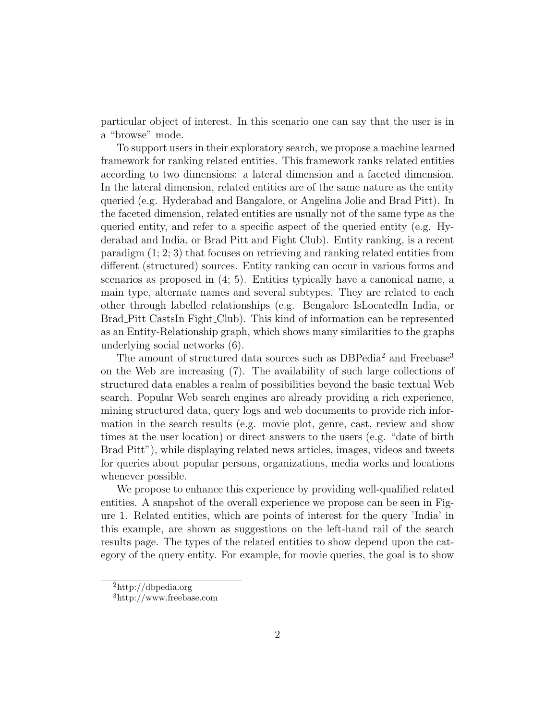particular object of interest. In this scenario one can say that the user is in a "browse" mode.

To support users in their exploratory search, we propose a machine learned framework for ranking related entities. This framework ranks related entities according to two dimensions: a lateral dimension and a faceted dimension. In the lateral dimension, related entities are of the same nature as the entity queried (e.g. Hyderabad and Bangalore, or Angelina Jolie and Brad Pitt). In the faceted dimension, related entities are usually not of the same type as the queried entity, and refer to a specific aspect of the queried entity (e.g. Hyderabad and India, or Brad Pitt and Fight Club). Entity ranking, is a recent paradigm (1; 2; 3) that focuses on retrieving and ranking related entities from different (structured) sources. Entity ranking can occur in various forms and scenarios as proposed in (4; 5). Entities typically have a canonical name, a main type, alternate names and several subtypes. They are related to each other through labelled relationships (e.g. Bengalore IsLocatedIn India, or Brad Pitt CastsIn Fight Club). This kind of information can be represented as an Entity-Relationship graph, which shows many similarities to the graphs underlying social networks (6).

The amount of structured data sources such as DBPedia<sup>2</sup> and Freebase<sup>3</sup> on the Web are increasing (7). The availability of such large collections of structured data enables a realm of possibilities beyond the basic textual Web search. Popular Web search engines are already providing a rich experience, mining structured data, query logs and web documents to provide rich information in the search results (e.g. movie plot, genre, cast, review and show times at the user location) or direct answers to the users (e.g. "date of birth Brad Pitt"), while displaying related news articles, images, videos and tweets for queries about popular persons, organizations, media works and locations whenever possible.

We propose to enhance this experience by providing well-qualified related entities. A snapshot of the overall experience we propose can be seen in Figure 1. Related entities, which are points of interest for the query 'India' in this example, are shown as suggestions on the left-hand rail of the search results page. The types of the related entities to show depend upon the category of the query entity. For example, for movie queries, the goal is to show

<sup>2</sup>http://dbpedia.org

<sup>3</sup>http://www.freebase.com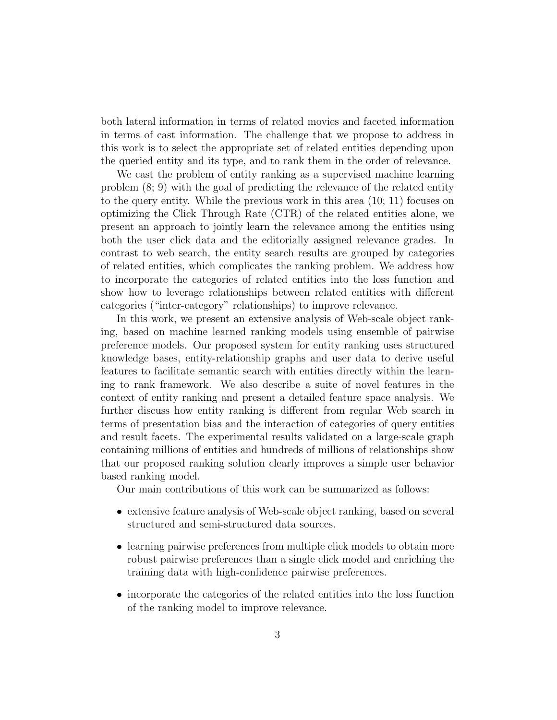both lateral information in terms of related movies and faceted information in terms of cast information. The challenge that we propose to address in this work is to select the appropriate set of related entities depending upon the queried entity and its type, and to rank them in the order of relevance.

We cast the problem of entity ranking as a supervised machine learning problem (8; 9) with the goal of predicting the relevance of the related entity to the query entity. While the previous work in this area (10; 11) focuses on optimizing the Click Through Rate (CTR) of the related entities alone, we present an approach to jointly learn the relevance among the entities using both the user click data and the editorially assigned relevance grades. In contrast to web search, the entity search results are grouped by categories of related entities, which complicates the ranking problem. We address how to incorporate the categories of related entities into the loss function and show how to leverage relationships between related entities with different categories ("inter-category" relationships) to improve relevance.

In this work, we present an extensive analysis of Web-scale object ranking, based on machine learned ranking models using ensemble of pairwise preference models. Our proposed system for entity ranking uses structured knowledge bases, entity-relationship graphs and user data to derive useful features to facilitate semantic search with entities directly within the learning to rank framework. We also describe a suite of novel features in the context of entity ranking and present a detailed feature space analysis. We further discuss how entity ranking is different from regular Web search in terms of presentation bias and the interaction of categories of query entities and result facets. The experimental results validated on a large-scale graph containing millions of entities and hundreds of millions of relationships show that our proposed ranking solution clearly improves a simple user behavior based ranking model.

Our main contributions of this work can be summarized as follows:

- extensive feature analysis of Web-scale object ranking, based on several structured and semi-structured data sources.
- learning pairwise preferences from multiple click models to obtain more robust pairwise preferences than a single click model and enriching the training data with high-confidence pairwise preferences.
- incorporate the categories of the related entities into the loss function of the ranking model to improve relevance.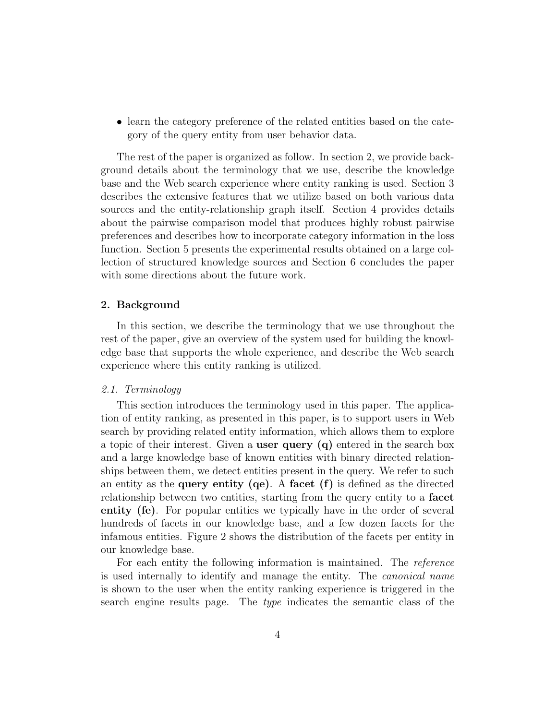• learn the category preference of the related entities based on the category of the query entity from user behavior data.

The rest of the paper is organized as follow. In section 2, we provide background details about the terminology that we use, describe the knowledge base and the Web search experience where entity ranking is used. Section 3 describes the extensive features that we utilize based on both various data sources and the entity-relationship graph itself. Section 4 provides details about the pairwise comparison model that produces highly robust pairwise preferences and describes how to incorporate category information in the loss function. Section 5 presents the experimental results obtained on a large collection of structured knowledge sources and Section 6 concludes the paper with some directions about the future work.

## 2. Background

In this section, we describe the terminology that we use throughout the rest of the paper, give an overview of the system used for building the knowledge base that supports the whole experience, and describe the Web search experience where this entity ranking is utilized.

## 2.1. Terminology

This section introduces the terminology used in this paper. The application of entity ranking, as presented in this paper, is to support users in Web search by providing related entity information, which allows them to explore a topic of their interest. Given a **user query** (q) entered in the search box and a large knowledge base of known entities with binary directed relationships between them, we detect entities present in the query. We refer to such an entity as the query entity (qe). A facet  $(f)$  is defined as the directed relationship between two entities, starting from the query entity to a facet entity (fe). For popular entities we typically have in the order of several hundreds of facets in our knowledge base, and a few dozen facets for the infamous entities. Figure 2 shows the distribution of the facets per entity in our knowledge base.

For each entity the following information is maintained. The reference is used internally to identify and manage the entity. The canonical name is shown to the user when the entity ranking experience is triggered in the search engine results page. The type indicates the semantic class of the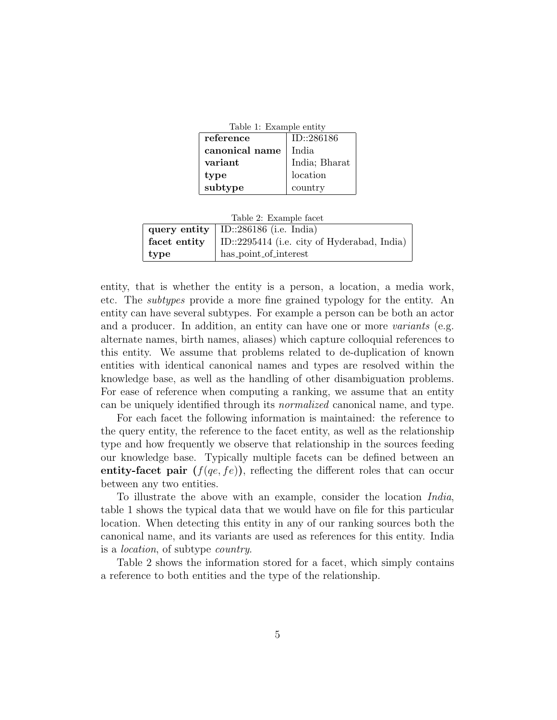Table 1: Example entity

| reference      | ID: 286186    |
|----------------|---------------|
| canonical name | India         |
| variant        | India; Bharat |
| type           | location      |
| subtype        | country       |

| Table 2: Example facet |                                                                   |  |  |  |
|------------------------|-------------------------------------------------------------------|--|--|--|
|                        | query entity   ID::286186 (i.e. India)                            |  |  |  |
|                        | <b>facet entity</b>   ID::2295414 (i.e. city of Hyderabad, India) |  |  |  |
| type                   | has_point_of_interest                                             |  |  |  |

entity, that is whether the entity is a person, a location, a media work, etc. The subtypes provide a more fine grained typology for the entity. An entity can have several subtypes. For example a person can be both an actor and a producer. In addition, an entity can have one or more variants (e.g. alternate names, birth names, aliases) which capture colloquial references to this entity. We assume that problems related to de-duplication of known entities with identical canonical names and types are resolved within the knowledge base, as well as the handling of other disambiguation problems. For ease of reference when computing a ranking, we assume that an entity can be uniquely identified through its normalized canonical name, and type.

For each facet the following information is maintained: the reference to the query entity, the reference to the facet entity, as well as the relationship type and how frequently we observe that relationship in the sources feeding our knowledge base. Typically multiple facets can be defined between an entity-facet pair  $(f(qe, fe))$ , reflecting the different roles that can occur between any two entities.

To illustrate the above with an example, consider the location India, table 1 shows the typical data that we would have on file for this particular location. When detecting this entity in any of our ranking sources both the canonical name, and its variants are used as references for this entity. India is a location, of subtype country.

Table 2 shows the information stored for a facet, which simply contains a reference to both entities and the type of the relationship.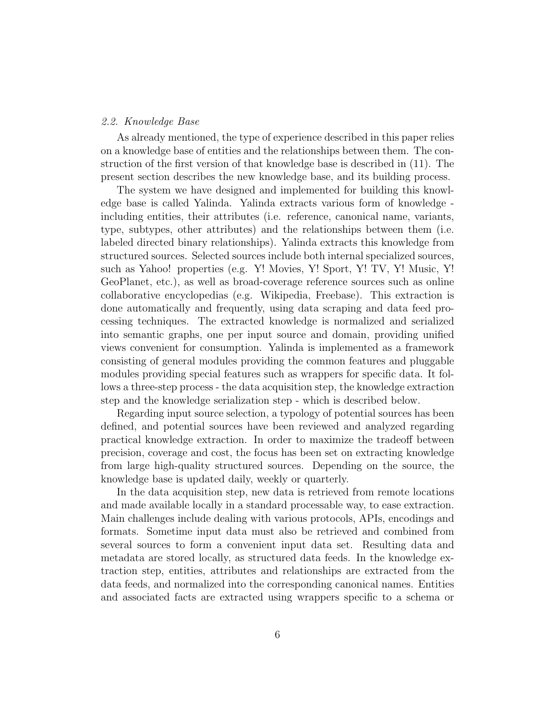#### 2.2. Knowledge Base

As already mentioned, the type of experience described in this paper relies on a knowledge base of entities and the relationships between them. The construction of the first version of that knowledge base is described in (11). The present section describes the new knowledge base, and its building process.

The system we have designed and implemented for building this knowledge base is called Yalinda. Yalinda extracts various form of knowledge including entities, their attributes (i.e. reference, canonical name, variants, type, subtypes, other attributes) and the relationships between them (i.e. labeled directed binary relationships). Yalinda extracts this knowledge from structured sources. Selected sources include both internal specialized sources, such as Yahoo! properties (e.g. Y! Movies, Y! Sport, Y! TV, Y! Music, Y! GeoPlanet, etc.), as well as broad-coverage reference sources such as online collaborative encyclopedias (e.g. Wikipedia, Freebase). This extraction is done automatically and frequently, using data scraping and data feed processing techniques. The extracted knowledge is normalized and serialized into semantic graphs, one per input source and domain, providing unified views convenient for consumption. Yalinda is implemented as a framework consisting of general modules providing the common features and pluggable modules providing special features such as wrappers for specific data. It follows a three-step process - the data acquisition step, the knowledge extraction step and the knowledge serialization step - which is described below.

Regarding input source selection, a typology of potential sources has been defined, and potential sources have been reviewed and analyzed regarding practical knowledge extraction. In order to maximize the tradeoff between precision, coverage and cost, the focus has been set on extracting knowledge from large high-quality structured sources. Depending on the source, the knowledge base is updated daily, weekly or quarterly.

In the data acquisition step, new data is retrieved from remote locations and made available locally in a standard processable way, to ease extraction. Main challenges include dealing with various protocols, APIs, encodings and formats. Sometime input data must also be retrieved and combined from several sources to form a convenient input data set. Resulting data and metadata are stored locally, as structured data feeds. In the knowledge extraction step, entities, attributes and relationships are extracted from the data feeds, and normalized into the corresponding canonical names. Entities and associated facts are extracted using wrappers specific to a schema or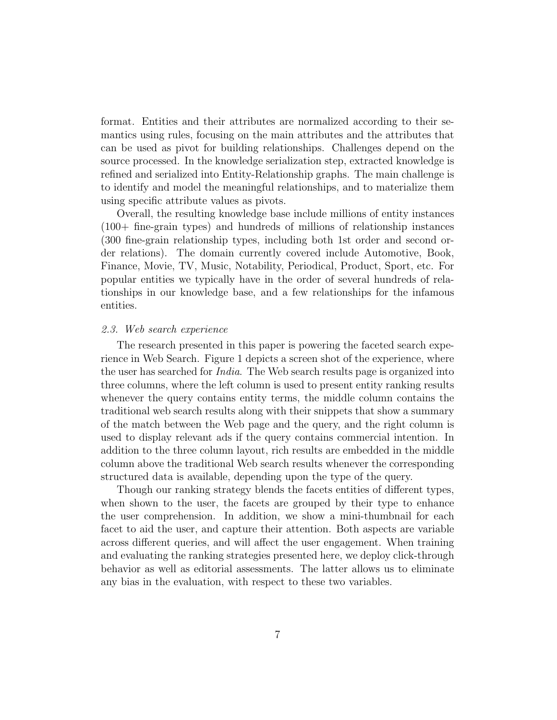format. Entities and their attributes are normalized according to their semantics using rules, focusing on the main attributes and the attributes that can be used as pivot for building relationships. Challenges depend on the source processed. In the knowledge serialization step, extracted knowledge is refined and serialized into Entity-Relationship graphs. The main challenge is to identify and model the meaningful relationships, and to materialize them using specific attribute values as pivots.

Overall, the resulting knowledge base include millions of entity instances (100+ fine-grain types) and hundreds of millions of relationship instances (300 fine-grain relationship types, including both 1st order and second order relations). The domain currently covered include Automotive, Book, Finance, Movie, TV, Music, Notability, Periodical, Product, Sport, etc. For popular entities we typically have in the order of several hundreds of relationships in our knowledge base, and a few relationships for the infamous entities.

## 2.3. Web search experience

The research presented in this paper is powering the faceted search experience in Web Search. Figure 1 depicts a screen shot of the experience, where the user has searched for India. The Web search results page is organized into three columns, where the left column is used to present entity ranking results whenever the query contains entity terms, the middle column contains the traditional web search results along with their snippets that show a summary of the match between the Web page and the query, and the right column is used to display relevant ads if the query contains commercial intention. In addition to the three column layout, rich results are embedded in the middle column above the traditional Web search results whenever the corresponding structured data is available, depending upon the type of the query.

Though our ranking strategy blends the facets entities of different types, when shown to the user, the facets are grouped by their type to enhance the user comprehension. In addition, we show a mini-thumbnail for each facet to aid the user, and capture their attention. Both aspects are variable across different queries, and will affect the user engagement. When training and evaluating the ranking strategies presented here, we deploy click-through behavior as well as editorial assessments. The latter allows us to eliminate any bias in the evaluation, with respect to these two variables.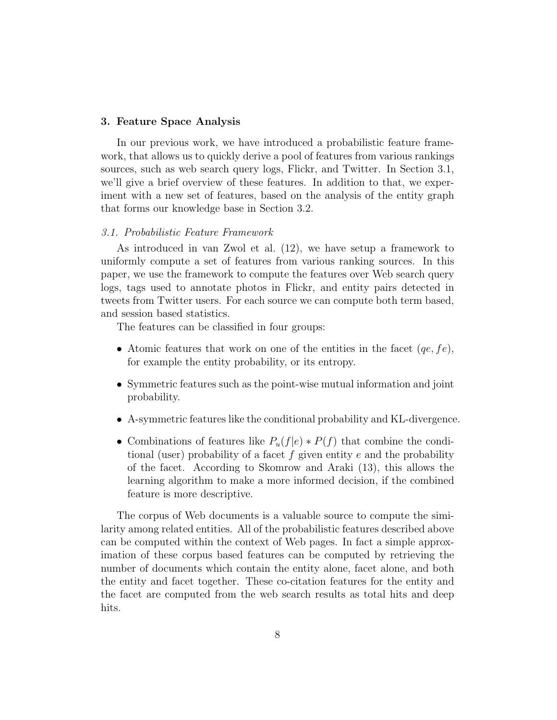#### 3. Feature Space Analysis

In our previous work, we have introduced a probabilistic feature framework, that allows us to quickly derive a pool of features from various rankings sources, such as web search query logs, Flickr, and Twitter. In Section 3.1, we'll give a brief overview of these features. In addition to that, we experiment with a new set of features, based on the analysis of the entity graph that forms our knowledge base in Section 3.2.

#### 3.1. Probabilistic Feature Framework

As introduced in van Zwol et al. (12), we have setup a framework to uniformly compute a set of features from various ranking sources. In this paper, we use the framework to compute the features over Web search query logs, tags used to annotate photos in Flickr, and entity pairs detected in tweets from Twitter users. For each source we can compute both term based, and session based statistics.

The features can be classified in four groups:

- Atomic features that work on one of the entities in the facet  $(qe, fe)$ , for example the entity probability, or its entropy.
- Symmetric features such as the point-wise mutual information and joint probability.
- A-symmetric features like the conditional probability and KL-divergence.
- Combinations of features like  $P_u(f|e) * P(f)$  that combine the conditional (user) probability of a facet  $f$  given entity  $e$  and the probability of the facet. According to Skomrow and Araki (13), this allows the learning algorithm to make a more informed decision, if the combined feature is more descriptive.

The corpus of Web documents is a valuable source to compute the similarity among related entities. All of the probabilistic features described above can be computed within the context of Web pages. In fact a simple approximation of these corpus based features can be computed by retrieving the number of documents which contain the entity alone, facet alone, and both the entity and facet together. These co-citation features for the entity and the facet are computed from the web search results as total hits and deep hits.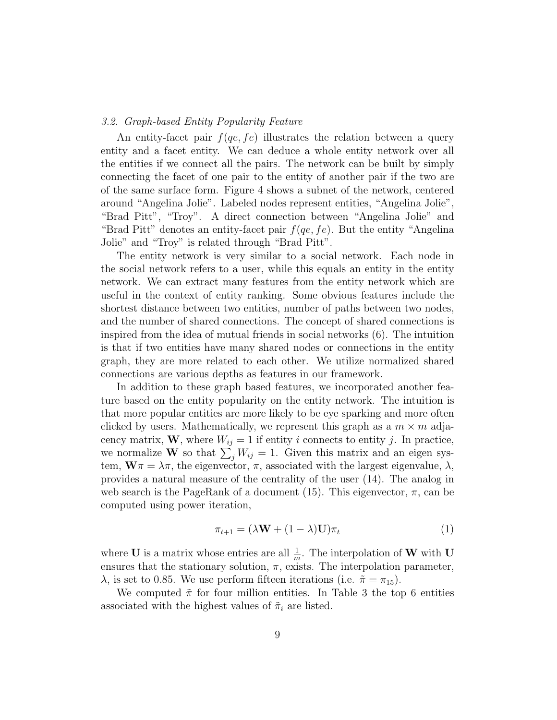## 3.2. Graph-based Entity Popularity Feature

An entity-facet pair  $f(qe, fe)$  illustrates the relation between a query entity and a facet entity. We can deduce a whole entity network over all the entities if we connect all the pairs. The network can be built by simply connecting the facet of one pair to the entity of another pair if the two are of the same surface form. Figure 4 shows a subnet of the network, centered around "Angelina Jolie". Labeled nodes represent entities, "Angelina Jolie", "Brad Pitt", "Troy". A direct connection between "Angelina Jolie" and "Brad Pitt" denotes an entity-facet pair  $f(qe, fe)$ . But the entity "Angelina" Jolie" and "Troy" is related through "Brad Pitt".

The entity network is very similar to a social network. Each node in the social network refers to a user, while this equals an entity in the entity network. We can extract many features from the entity network which are useful in the context of entity ranking. Some obvious features include the shortest distance between two entities, number of paths between two nodes, and the number of shared connections. The concept of shared connections is inspired from the idea of mutual friends in social networks (6). The intuition is that if two entities have many shared nodes or connections in the entity graph, they are more related to each other. We utilize normalized shared connections are various depths as features in our framework.

In addition to these graph based features, we incorporated another feature based on the entity popularity on the entity network. The intuition is that more popular entities are more likely to be eye sparking and more often clicked by users. Mathematically, we represent this graph as a  $m \times m$  adjacency matrix, **W**, where  $W_{ij} = 1$  if entity i connects to entity j. In practice, we normalize **W** so that  $\sum_j W_{ij} = 1$ . Given this matrix and an eigen system,  $\mathbf{W}\pi = \lambda \pi$ , the eigenvector,  $\pi$ , associated with the largest eigenvalue,  $\lambda$ , provides a natural measure of the centrality of the user (14). The analog in web search is the PageRank of a document (15). This eigenvector,  $\pi$ , can be computed using power iteration,

$$
\pi_{t+1} = (\lambda \mathbf{W} + (1 - \lambda)\mathbf{U})\pi_t \tag{1}
$$

where **U** is a matrix whose entries are all  $\frac{1}{m}$ . The interpolation of **W** with **U** ensures that the stationary solution,  $\pi$ , exists. The interpolation parameter,  $\lambda$ , is set to 0.85. We use perform fifteen iterations (i.e.  $\tilde{\pi} = \pi_{15}$ ).

We computed  $\tilde{\pi}$  for four million entities. In Table 3 the top 6 entities associated with the highest values of  $\tilde{\pi}_i$  are listed.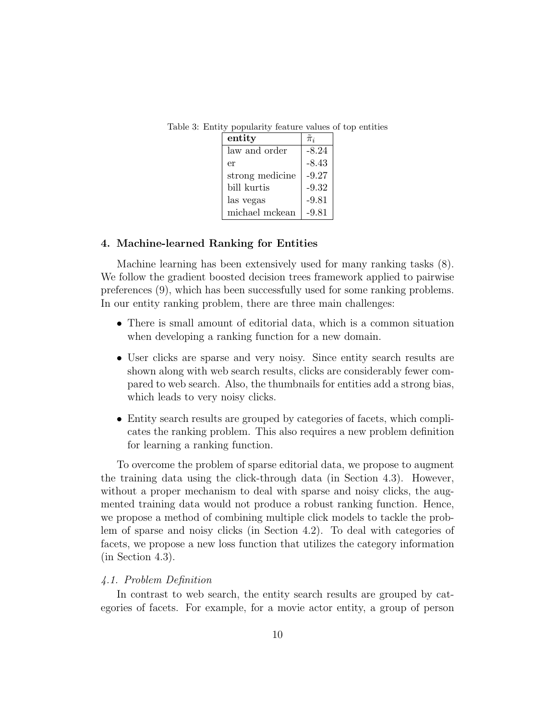Table 3: Entity popularity feature values of top entities

| entity          | $\tilde{\pi}_i$ |
|-----------------|-----------------|
| law and order   | $-8.24$         |
| er              | $-8.43$         |
| strong medicine | $-9.27$         |
| bill kurtis     | $-9.32$         |
| las vegas       | $-9.81$         |
| michael mckean  | $-9.81$         |

## 4. Machine-learned Ranking for Entities

Machine learning has been extensively used for many ranking tasks (8). We follow the gradient boosted decision trees framework applied to pairwise preferences (9), which has been successfully used for some ranking problems. In our entity ranking problem, there are three main challenges:

- There is small amount of editorial data, which is a common situation when developing a ranking function for a new domain.
- User clicks are sparse and very noisy. Since entity search results are shown along with web search results, clicks are considerably fewer compared to web search. Also, the thumbnails for entities add a strong bias, which leads to very noisy clicks.
- Entity search results are grouped by categories of facets, which complicates the ranking problem. This also requires a new problem definition for learning a ranking function.

To overcome the problem of sparse editorial data, we propose to augment the training data using the click-through data (in Section 4.3). However, without a proper mechanism to deal with sparse and noisy clicks, the augmented training data would not produce a robust ranking function. Hence, we propose a method of combining multiple click models to tackle the problem of sparse and noisy clicks (in Section 4.2). To deal with categories of facets, we propose a new loss function that utilizes the category information (in Section 4.3).

## 4.1. Problem Definition

In contrast to web search, the entity search results are grouped by categories of facets. For example, for a movie actor entity, a group of person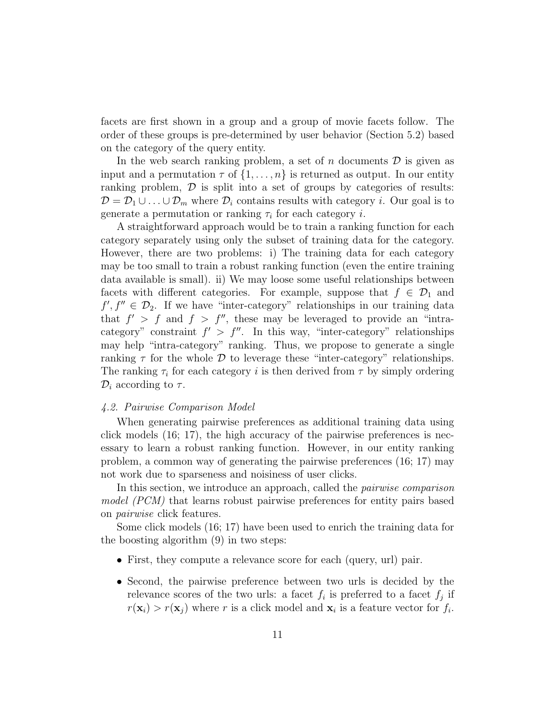facets are first shown in a group and a group of movie facets follow. The order of these groups is pre-determined by user behavior (Section 5.2) based on the category of the query entity.

In the web search ranking problem, a set of n documents  $\mathcal D$  is given as input and a permutation  $\tau$  of  $\{1, \ldots, n\}$  is returned as output. In our entity ranking problem,  $\mathcal D$  is split into a set of groups by categories of results:  $\mathcal{D} = \mathcal{D}_1 \cup \ldots \cup \mathcal{D}_m$  where  $\mathcal{D}_i$  contains results with category *i*. Our goal is to generate a permutation or ranking  $\tau_i$  for each category *i*.

A straightforward approach would be to train a ranking function for each category separately using only the subset of training data for the category. However, there are two problems: i) The training data for each category may be too small to train a robust ranking function (even the entire training data available is small). ii) We may loose some useful relationships between facets with different categories. For example, suppose that  $f \in \mathcal{D}_1$  and  $f', f'' \in \mathcal{D}_2$ . If we have "inter-category" relationships in our training data that  $f' > f$  and  $f > f''$ , these may be leveraged to provide an "intracategory" constraint  $f' > f''$ . In this way, "inter-category" relationships may help "intra-category" ranking. Thus, we propose to generate a single ranking  $\tau$  for the whole  $\mathcal D$  to leverage these "inter-category" relationships. The ranking  $\tau_i$  for each category i is then derived from  $\tau$  by simply ordering  $\mathcal{D}_i$  according to  $\tau$ .

#### 4.2. Pairwise Comparison Model

When generating pairwise preferences as additional training data using click models (16; 17), the high accuracy of the pairwise preferences is necessary to learn a robust ranking function. However, in our entity ranking problem, a common way of generating the pairwise preferences (16; 17) may not work due to sparseness and noisiness of user clicks.

In this section, we introduce an approach, called the *pairwise comparison* model (PCM) that learns robust pairwise preferences for entity pairs based on pairwise click features.

Some click models (16; 17) have been used to enrich the training data for the boosting algorithm (9) in two steps:

- First, they compute a relevance score for each (query, url) pair.
- Second, the pairwise preference between two urls is decided by the relevance scores of the two urls: a facet  $f_i$  is preferred to a facet  $f_j$  if  $r(\mathbf{x}_i) > r(\mathbf{x}_j)$  where r is a click model and  $\mathbf{x}_i$  is a feature vector for  $f_i$ .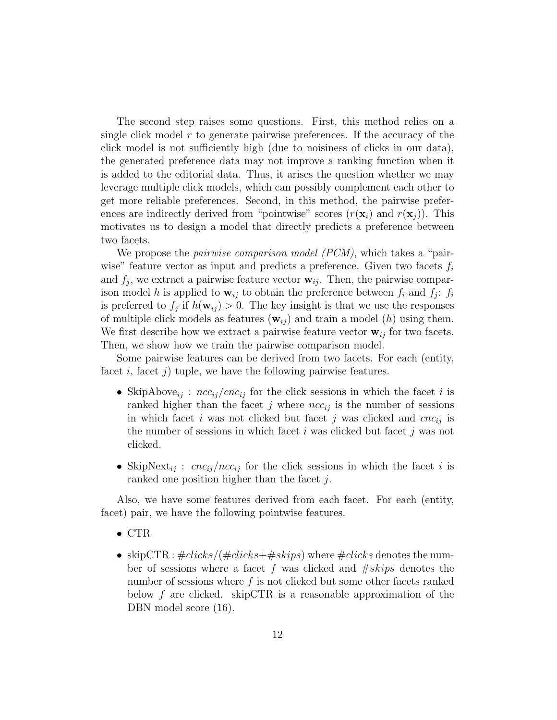The second step raises some questions. First, this method relies on a single click model  $r$  to generate pairwise preferences. If the accuracy of the click model is not sufficiently high (due to noisiness of clicks in our data), the generated preference data may not improve a ranking function when it is added to the editorial data. Thus, it arises the question whether we may leverage multiple click models, which can possibly complement each other to get more reliable preferences. Second, in this method, the pairwise preferences are indirectly derived from "pointwise" scores  $(r(\mathbf{x}_i)$  and  $r(\mathbf{x}_j))$ . This motivates us to design a model that directly predicts a preference between two facets.

We propose the *pairwise comparison model (PCM)*, which takes a "pairwise" feature vector as input and predicts a preference. Given two facets  $f_i$ and  $f_j$ , we extract a pairwise feature vector  $\mathbf{w}_{ij}$ . Then, the pairwise comparison model h is applied to  $\mathbf{w}_{ij}$  to obtain the preference between  $f_i$  and  $f_j$ :  $f_i$ is preferred to  $f_j$  if  $h(\mathbf{w}_{ij}) > 0$ . The key insight is that we use the responses of multiple click models as features  $(\mathbf{w}_{ij})$  and train a model (h) using them. We first describe how we extract a pairwise feature vector  $\mathbf{w}_{ij}$  for two facets. Then, we show how we train the pairwise comparison model.

Some pairwise features can be derived from two facets. For each (entity, facet i, facet j) tuple, we have the following pairwise features.

- SkipAbove<sub>ij</sub>:  $\frac{nc_{ij}}{cn_{ij}}$  for the click sessions in which the facet i is ranked higher than the facet j where  $ncc_{ij}$  is the number of sessions in which facet i was not clicked but facet j was clicked and  $cnc_{ij}$  is the number of sessions in which facet i was clicked but facet j was not clicked.
- SkipNext<sub>ij</sub>:  $cnc_{ij}/ncc_{ij}$  for the click sessions in which the facet i is ranked one position higher than the facet j.

Also, we have some features derived from each facet. For each (entity, facet) pair, we have the following pointwise features.

- CTR
- skipCTR :  $\#clicks/(\#clicks+\# skips)$  where  $\#clicks$  denotes the number of sessions where a facet f was clicked and  $# skips$  denotes the number of sessions where  $f$  is not clicked but some other facets ranked below  $f$  are clicked. skip CTR is a reasonable approximation of the DBN model score  $(16)$ .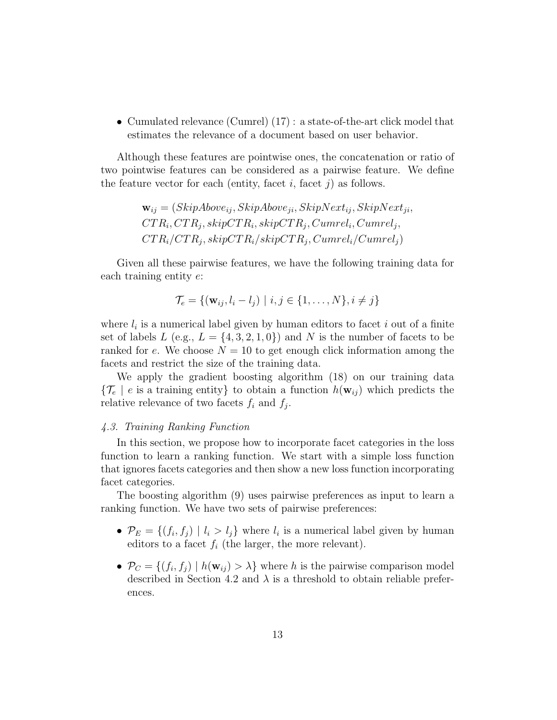• Cumulated relevance (Cumrel) (17) : a state-of-the-art click model that estimates the relevance of a document based on user behavior.

Although these features are pointwise ones, the concatenation or ratio of two pointwise features can be considered as a pairwise feature. We define the feature vector for each (entity, facet i, facet j) as follows.

> $\mathbf{w}_{ii} = (SkipAbove_{ii}, SkipAbove_{ii}, SkipNext_{ii}, SkipNext_{ii},$  $CTR_i, CTR_j, skipCTR_i, skipCTR_j, Cumrel_i, Cumrel_j,$  $CTR_i / CTR_j, skipCTR_i / skipCTR_j, Cumrel_i / Cumrel_j)$

Given all these pairwise features, we have the following training data for each training entity e:

$$
\mathcal{T}_e = \{ (\mathbf{w}_{ij}, l_i - l_j) \mid i, j \in \{1, ..., N\}, i \neq j \}
$$

where  $l_i$  is a numerical label given by human editors to facet i out of a finite set of labels  $L$  (e.g.,  $L = \{4, 3, 2, 1, 0\}$ ) and N is the number of facets to be ranked for e. We choose  $N = 10$  to get enough click information among the facets and restrict the size of the training data.

We apply the gradient boosting algorithm (18) on our training data  ${\mathcal{T}_e \mid e \text{ is a training entity}}$  to obtain a function  $h(\mathbf{w}_{ii})$  which predicts the relative relevance of two facets  $f_i$  and  $f_j$ .

## 4.3. Training Ranking Function

In this section, we propose how to incorporate facet categories in the loss function to learn a ranking function. We start with a simple loss function that ignores facets categories and then show a new loss function incorporating facet categories.

The boosting algorithm (9) uses pairwise preferences as input to learn a ranking function. We have two sets of pairwise preferences:

- $\mathcal{P}_E = \{(f_i, f_j) \mid l_i > l_j\}$  where  $l_i$  is a numerical label given by human editors to a facet  $f_i$  (the larger, the more relevant).
- $\mathcal{P}_C = \{(f_i, f_j) \mid h(\mathbf{w}_{ij}) > \lambda\}$  where h is the pairwise comparison model described in Section 4.2 and  $\lambda$  is a threshold to obtain reliable preferences.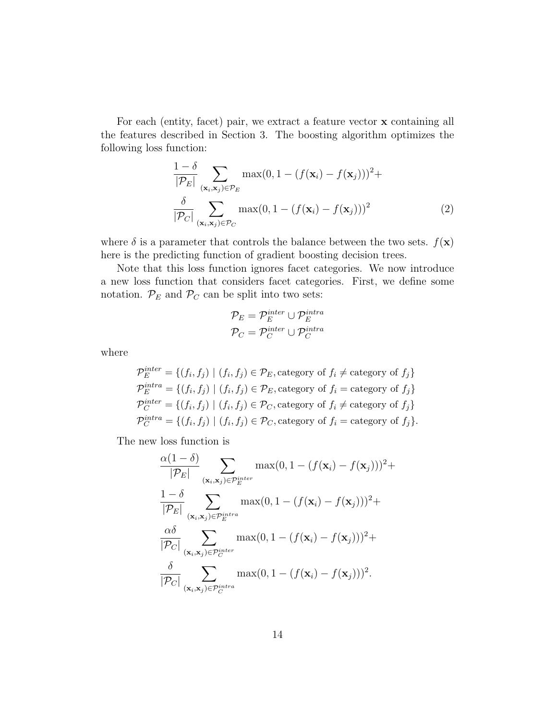For each (entity, facet) pair, we extract a feature vector **x** containing all the features described in Section 3. The boosting algorithm optimizes the following loss function:

$$
\frac{1-\delta}{|\mathcal{P}_E|} \sum_{(\mathbf{x}_i, \mathbf{x}_j) \in \mathcal{P}_E} \max(0, 1 - (f(\mathbf{x}_i) - f(\mathbf{x}_j)))^2 + \frac{\delta}{|\mathcal{P}_C|} \sum_{(\mathbf{x}_i, \mathbf{x}_j) \in \mathcal{P}_C} \max(0, 1 - (f(\mathbf{x}_i) - f(\mathbf{x}_j)))^2
$$
\n(2)

where  $\delta$  is a parameter that controls the balance between the two sets.  $f(\mathbf{x})$ here is the predicting function of gradient boosting decision trees.

Note that this loss function ignores facet categories. We now introduce a new loss function that considers facet categories. First, we define some notation.  $\mathcal{P}_E$  and  $\mathcal{P}_C$  can be split into two sets:

$$
\mathcal{P}_E = \mathcal{P}_E^{inter} \cup \mathcal{P}_E^{intra}
$$

$$
\mathcal{P}_C = \mathcal{P}_C^{inter} \cup \mathcal{P}_C^{intra}
$$

where

$$
\mathcal{P}_E^{inter} = \{(f_i, f_j) \mid (f_i, f_j) \in \mathcal{P}_E, \text{category of } f_i \neq \text{category of } f_j \}
$$
  
\n
$$
\mathcal{P}_E^{intra} = \{(f_i, f_j) \mid (f_i, f_j) \in \mathcal{P}_E, \text{category of } f_i = \text{category of } f_j \}
$$
  
\n
$$
\mathcal{P}_C^{inter} = \{(f_i, f_j) \mid (f_i, f_j) \in \mathcal{P}_C, \text{category of } f_i \neq \text{category of } f_j \}
$$
  
\n
$$
\mathcal{P}_C^{intra} = \{(f_i, f_j) \mid (f_i, f_j) \in \mathcal{P}_C, \text{category of } f_i = \text{category of } f_j \}.
$$

The new loss function is

$$
\frac{\alpha(1-\delta)}{|\mathcal{P}_E|} \sum_{(\mathbf{x}_i, \mathbf{x}_j) \in \mathcal{P}_E^{inter}} \max(0, 1 - (f(\mathbf{x}_i) - f(\mathbf{x}_j)))^2 + \frac{1-\delta}{|\mathcal{P}_E|} \sum_{(\mathbf{x}_i, \mathbf{x}_j) \in \mathcal{P}_E^{inter}} \max(0, 1 - (f(\mathbf{x}_i) - f(\mathbf{x}_j)))^2 + \frac{\alpha\delta}{|\mathcal{P}_C|} \sum_{(\mathbf{x}_i, \mathbf{x}_j) \in \mathcal{P}_C^{inter}} \max(0, 1 - (f(\mathbf{x}_i) - f(\mathbf{x}_j)))^2 + \frac{\delta}{|\mathcal{P}_C|} \sum_{(\mathbf{x}_i, \mathbf{x}_j) \in \mathcal{P}_C^{inter}} \max(0, 1 - (f(\mathbf{x}_i) - f(\mathbf{x}_j)))^2.
$$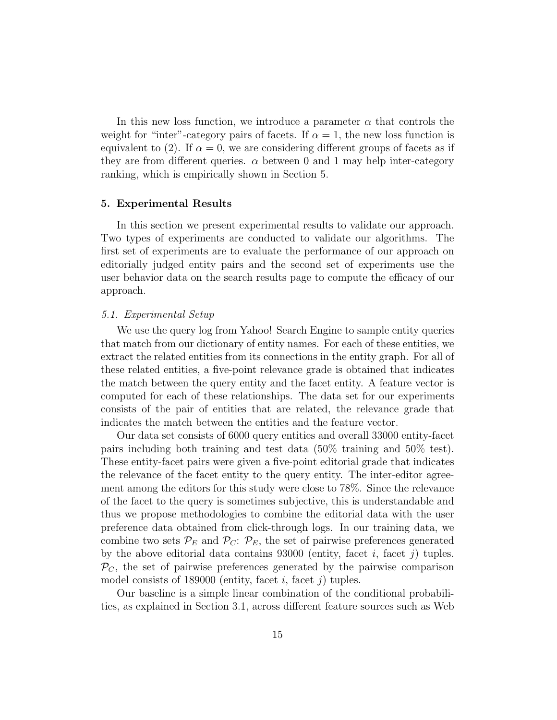In this new loss function, we introduce a parameter  $\alpha$  that controls the weight for "inter"-category pairs of facets. If  $\alpha = 1$ , the new loss function is equivalent to (2). If  $\alpha = 0$ , we are considering different groups of facets as if they are from different queries.  $\alpha$  between 0 and 1 may help inter-category ranking, which is empirically shown in Section 5.

#### 5. Experimental Results

In this section we present experimental results to validate our approach. Two types of experiments are conducted to validate our algorithms. The first set of experiments are to evaluate the performance of our approach on editorially judged entity pairs and the second set of experiments use the user behavior data on the search results page to compute the efficacy of our approach.

## 5.1. Experimental Setup

We use the query log from Yahoo! Search Engine to sample entity queries that match from our dictionary of entity names. For each of these entities, we extract the related entities from its connections in the entity graph. For all of these related entities, a five-point relevance grade is obtained that indicates the match between the query entity and the facet entity. A feature vector is computed for each of these relationships. The data set for our experiments consists of the pair of entities that are related, the relevance grade that indicates the match between the entities and the feature vector.

Our data set consists of 6000 query entities and overall 33000 entity-facet pairs including both training and test data (50% training and 50% test). These entity-facet pairs were given a five-point editorial grade that indicates the relevance of the facet entity to the query entity. The inter-editor agreement among the editors for this study were close to 78%. Since the relevance of the facet to the query is sometimes subjective, this is understandable and thus we propose methodologies to combine the editorial data with the user preference data obtained from click-through logs. In our training data, we combine two sets  $\mathcal{P}_E$  and  $\mathcal{P}_C$ :  $\mathcal{P}_E$ , the set of pairwise preferences generated by the above editorial data contains  $93000$  (entity, facet i, facet j) tuples.  $\mathcal{P}_C$ , the set of pairwise preferences generated by the pairwise comparison model consists of 189000 (entity, facet i, facet j) tuples.

Our baseline is a simple linear combination of the conditional probabilities, as explained in Section 3.1, across different feature sources such as Web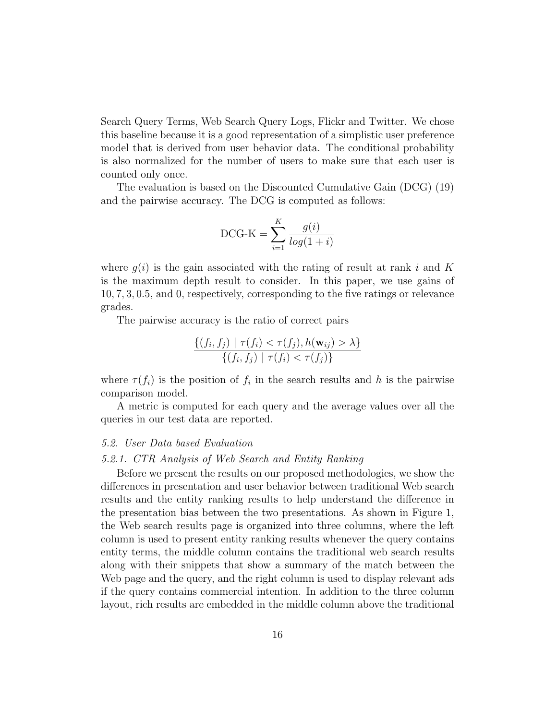Search Query Terms, Web Search Query Logs, Flickr and Twitter. We chose this baseline because it is a good representation of a simplistic user preference model that is derived from user behavior data. The conditional probability is also normalized for the number of users to make sure that each user is counted only once.

The evaluation is based on the Discounted Cumulative Gain (DCG) (19) and the pairwise accuracy. The DCG is computed as follows:

$$
DCG-K = \sum_{i=1}^{K} \frac{g(i)}{log(1+i)}
$$

where  $g(i)$  is the gain associated with the rating of result at rank i and K is the maximum depth result to consider. In this paper, we use gains of 10, 7, 3, 0.5, and 0, respectively, corresponding to the five ratings or relevance grades.

The pairwise accuracy is the ratio of correct pairs

$$
\frac{\{(f_i, f_j) \mid \tau(f_i) < \tau(f_j), h(\mathbf{w}_{ij}) > \lambda\}}{\{(f_i, f_j) \mid \tau(f_i) < \tau(f_j)\}}
$$

where  $\tau(f_i)$  is the position of  $f_i$  in the search results and h is the pairwise comparison model.

A metric is computed for each query and the average values over all the queries in our test data are reported.

#### 5.2. User Data based Evaluation

## 5.2.1. CTR Analysis of Web Search and Entity Ranking

Before we present the results on our proposed methodologies, we show the differences in presentation and user behavior between traditional Web search results and the entity ranking results to help understand the difference in the presentation bias between the two presentations. As shown in Figure 1, the Web search results page is organized into three columns, where the left column is used to present entity ranking results whenever the query contains entity terms, the middle column contains the traditional web search results along with their snippets that show a summary of the match between the Web page and the query, and the right column is used to display relevant ads if the query contains commercial intention. In addition to the three column layout, rich results are embedded in the middle column above the traditional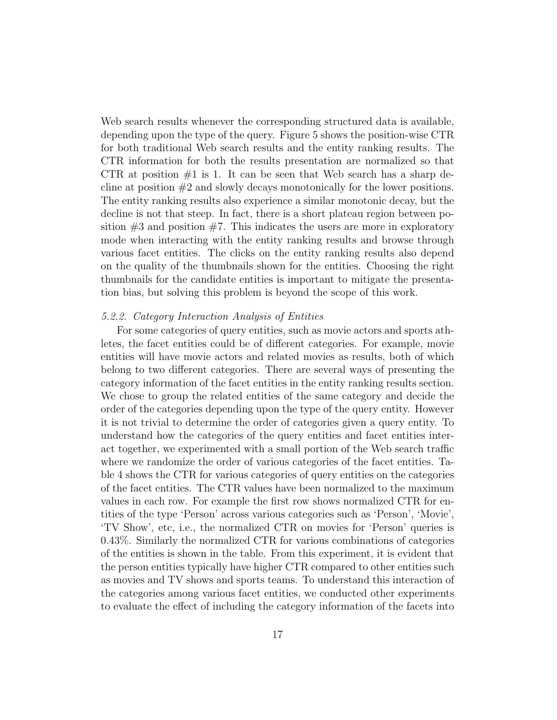Web search results whenever the corresponding structured data is available, depending upon the type of the query. Figure 5 shows the position-wise CTR for both traditional Web search results and the entity ranking results. The CTR information for both the results presentation are normalized so that CTR at position  $#1$  is 1. It can be seen that Web search has a sharp decline at position #2 and slowly decays monotonically for the lower positions. The entity ranking results also experience a similar monotonic decay, but the decline is not that steep. In fact, there is a short plateau region between position  $#3$  and position  $#7$ . This indicates the users are more in exploratory mode when interacting with the entity ranking results and browse through various facet entities. The clicks on the entity ranking results also depend on the quality of the thumbnails shown for the entities. Choosing the right thumbnails for the candidate entities is important to mitigate the presentation bias, but solving this problem is beyond the scope of this work.

## 5.2.2. Category Interaction Analysis of Entities

For some categories of query entities, such as movie actors and sports athletes, the facet entities could be of different categories. For example, movie entities will have movie actors and related movies as results, both of which belong to two different categories. There are several ways of presenting the category information of the facet entities in the entity ranking results section. We chose to group the related entities of the same category and decide the order of the categories depending upon the type of the query entity. However it is not trivial to determine the order of categories given a query entity. To understand how the categories of the query entities and facet entities interact together, we experimented with a small portion of the Web search traffic where we randomize the order of various categories of the facet entities. Table 4 shows the CTR for various categories of query entities on the categories of the facet entities. The CTR values have been normalized to the maximum values in each row. For example the first row shows normalized CTR for entities of the type 'Person' across various categories such as 'Person', 'Movie', 'TV Show', etc, i.e., the normalized CTR on movies for 'Person' queries is 0.43%. Similarly the normalized CTR for various combinations of categories of the entities is shown in the table. From this experiment, it is evident that the person entities typically have higher CTR compared to other entities such as movies and TV shows and sports teams. To understand this interaction of the categories among various facet entities, we conducted other experiments to evaluate the effect of including the category information of the facets into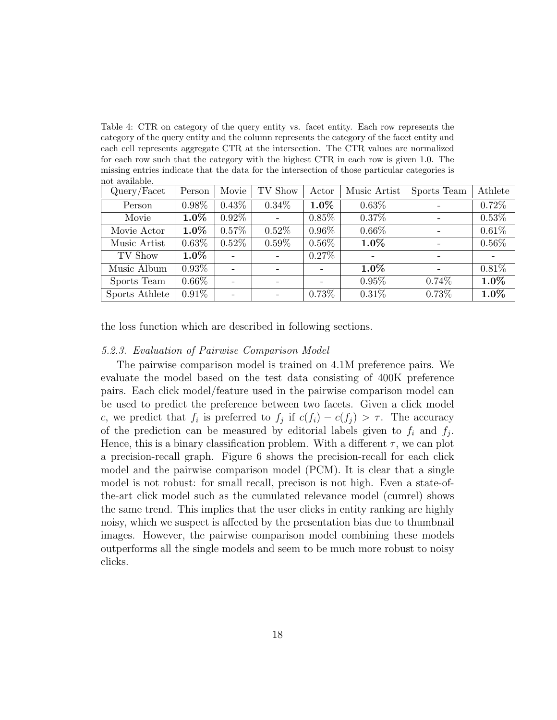Table 4: CTR on category of the query entity vs. facet entity. Each row represents the category of the query entity and the column represents the category of the facet entity and each cell represents aggregate CTR at the intersection. The CTR values are normalized for each row such that the category with the highest CTR in each row is given 1.0. The missing entries indicate that the data for the intersection of those particular categories is not available.

| Query/Face     | Person   | Movie    | TV Show  | Actor    | Music Artist | Sports Team | Athlete  |
|----------------|----------|----------|----------|----------|--------------|-------------|----------|
| Person         | $0.98\%$ | $0.43\%$ | $0.34\%$ | $1.0\%$  | $0.63\%$     |             | $0.72\%$ |
| Movie          | $1.0\%$  | $0.92\%$ |          | $0.85\%$ | $0.37\%$     |             | $0.53\%$ |
| Movie Actor    | $1.0\%$  | $0.57\%$ | 0.52%    | $0.96\%$ | $0.66\%$     |             | 0.61%    |
| Music Artist   | $0.63\%$ | $0.52\%$ | $0.59\%$ | $0.56\%$ | $1.0\%$      |             | $0.56\%$ |
| TV Show        | $1.0\%$  |          |          | $0.27\%$ |              |             |          |
| Music Album    | $0.93\%$ |          |          |          | $1.0\%$      |             | 0.81%    |
| Sports Team    | $0.66\%$ |          |          |          | 0.95%        | 0.74%       | $1.0\%$  |
| Sports Athlete | $0.91\%$ |          |          | $0.73\%$ | $0.31\%$     | $0.73\%$    | $1.0\%$  |

the loss function which are described in following sections.

#### 5.2.3. Evaluation of Pairwise Comparison Model

The pairwise comparison model is trained on 4.1M preference pairs. We evaluate the model based on the test data consisting of 400K preference pairs. Each click model/feature used in the pairwise comparison model can be used to predict the preference between two facets. Given a click model c, we predict that  $f_i$  is preferred to  $f_j$  if  $c(f_i) - c(f_j) > \tau$ . The accuracy of the prediction can be measured by editorial labels given to  $f_i$  and  $f_j$ . Hence, this is a binary classification problem. With a different  $\tau$ , we can plot a precision-recall graph. Figure 6 shows the precision-recall for each click model and the pairwise comparison model (PCM). It is clear that a single model is not robust: for small recall, precison is not high. Even a state-ofthe-art click model such as the cumulated relevance model (cumrel) shows the same trend. This implies that the user clicks in entity ranking are highly noisy, which we suspect is affected by the presentation bias due to thumbnail images. However, the pairwise comparison model combining these models outperforms all the single models and seem to be much more robust to noisy clicks.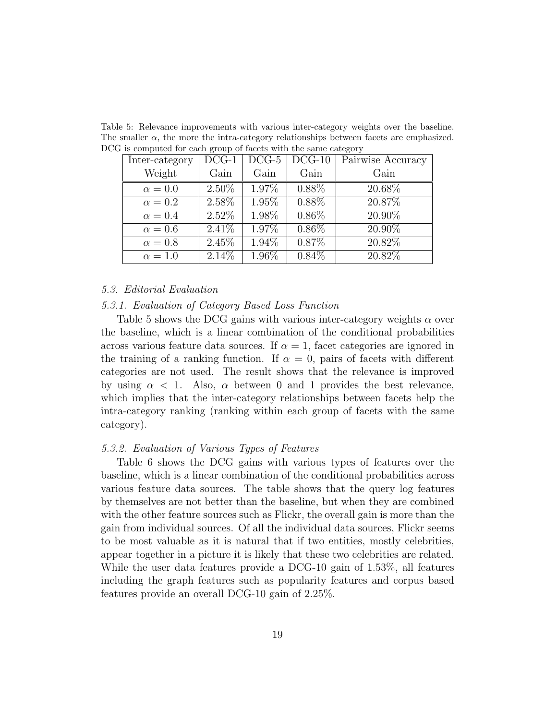Table 5: Relevance improvements with various inter-category weights over the baseline. The smaller  $\alpha$ , the more the intra-category relationships between facets are emphasized. DCG is computed for each group of facets with the same category

| Inter-category | $DCG-1$  | $DCG-5$ | $DCG-10$ | Pairwise Accuracy |
|----------------|----------|---------|----------|-------------------|
| Weight         | Gain     | Gain    | Gain     | Gain              |
| $\alpha=0.0$   | $2.50\%$ | 1.97%   | 0.88%    | 20.68%            |
| $\alpha = 0.2$ | 2.58%    | 1.95%   | $0.88\%$ | 20.87%            |
| $\alpha = 0.4$ | $2.52\%$ | 1.98%   | $0.86\%$ | 20.90%            |
| $\alpha = 0.6$ | $2.41\%$ | 1.97%   | $0.86\%$ | 20.90%            |
| $\alpha = 0.8$ | 2.45%    | 1.94%   | 0.87%    | 20.82%            |
| $\alpha = 1.0$ | $2.14\%$ | 1.96%   | $0.84\%$ | 20.82\%           |

## 5.3. Editorial Evaluation

## 5.3.1. Evaluation of Category Based Loss Function

Table 5 shows the DCG gains with various inter-category weights  $\alpha$  over the baseline, which is a linear combination of the conditional probabilities across various feature data sources. If  $\alpha = 1$ , facet categories are ignored in the training of a ranking function. If  $\alpha = 0$ , pairs of facets with different categories are not used. The result shows that the relevance is improved by using  $\alpha < 1$ . Also,  $\alpha$  between 0 and 1 provides the best relevance, which implies that the inter-category relationships between facets help the intra-category ranking (ranking within each group of facets with the same category).

## 5.3.2. Evaluation of Various Types of Features

Table 6 shows the DCG gains with various types of features over the baseline, which is a linear combination of the conditional probabilities across various feature data sources. The table shows that the query log features by themselves are not better than the baseline, but when they are combined with the other feature sources such as Flickr, the overall gain is more than the gain from individual sources. Of all the individual data sources, Flickr seems to be most valuable as it is natural that if two entities, mostly celebrities, appear together in a picture it is likely that these two celebrities are related. While the user data features provide a DCG-10 gain of 1.53%, all features including the graph features such as popularity features and corpus based features provide an overall DCG-10 gain of 2.25%.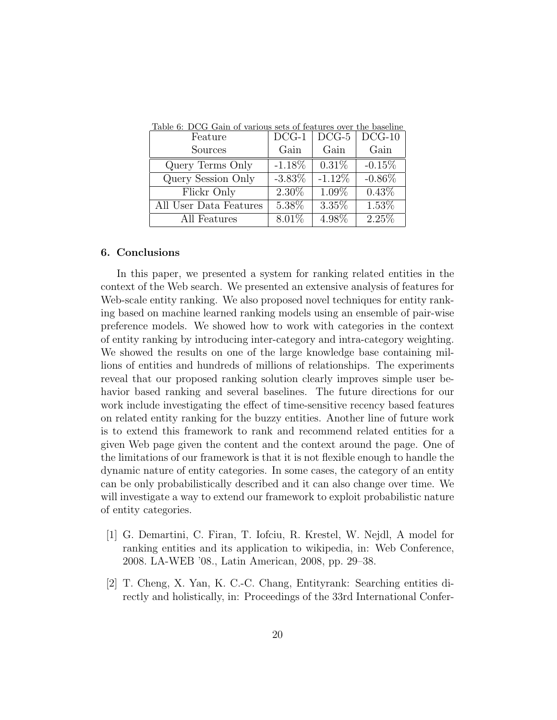| Feature                | $DCG-1$   | $DCG-5$   | $DCG-10$  |
|------------------------|-----------|-----------|-----------|
| Sources                | Gain      | Gain      | Gain      |
| Query Terms Only       | $-1.18\%$ | 0.31%     | $-0.15%$  |
| Query Session Only     | $-3.83\%$ | $-1.12\%$ | $-0.86\%$ |
| Flickr Only            | 2.30%     | 1.09%     | 0.43%     |
| All User Data Features | 5.38%     | 3.35%     | 1.53%     |
| All Features           | 8.01%     | 4.98%     | 2.25%     |

Table 6: DCG Gain of various sets of features over the baseline

## 6. Conclusions

In this paper, we presented a system for ranking related entities in the context of the Web search. We presented an extensive analysis of features for Web-scale entity ranking. We also proposed novel techniques for entity ranking based on machine learned ranking models using an ensemble of pair-wise preference models. We showed how to work with categories in the context of entity ranking by introducing inter-category and intra-category weighting. We showed the results on one of the large knowledge base containing millions of entities and hundreds of millions of relationships. The experiments reveal that our proposed ranking solution clearly improves simple user behavior based ranking and several baselines. The future directions for our work include investigating the effect of time-sensitive recency based features on related entity ranking for the buzzy entities. Another line of future work is to extend this framework to rank and recommend related entities for a given Web page given the content and the context around the page. One of the limitations of our framework is that it is not flexible enough to handle the dynamic nature of entity categories. In some cases, the category of an entity can be only probabilistically described and it can also change over time. We will investigate a way to extend our framework to exploit probabilistic nature of entity categories.

- [1] G. Demartini, C. Firan, T. Iofciu, R. Krestel, W. Nejdl, A model for ranking entities and its application to wikipedia, in: Web Conference, 2008. LA-WEB '08., Latin American, 2008, pp. 29–38.
- [2] T. Cheng, X. Yan, K. C.-C. Chang, Entityrank: Searching entities directly and holistically, in: Proceedings of the 33rd International Confer-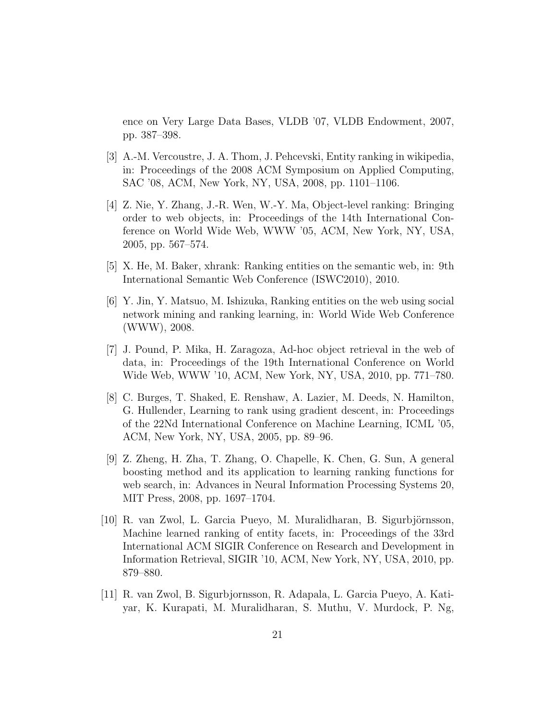ence on Very Large Data Bases, VLDB '07, VLDB Endowment, 2007, pp. 387–398.

- [3] A.-M. Vercoustre, J. A. Thom, J. Pehcevski, Entity ranking in wikipedia, in: Proceedings of the 2008 ACM Symposium on Applied Computing, SAC '08, ACM, New York, NY, USA, 2008, pp. 1101–1106.
- [4] Z. Nie, Y. Zhang, J.-R. Wen, W.-Y. Ma, Object-level ranking: Bringing order to web objects, in: Proceedings of the 14th International Conference on World Wide Web, WWW '05, ACM, New York, NY, USA, 2005, pp. 567–574.
- [5] X. He, M. Baker, xhrank: Ranking entities on the semantic web, in: 9th International Semantic Web Conference (ISWC2010), 2010.
- [6] Y. Jin, Y. Matsuo, M. Ishizuka, Ranking entities on the web using social network mining and ranking learning, in: World Wide Web Conference (WWW), 2008.
- [7] J. Pound, P. Mika, H. Zaragoza, Ad-hoc object retrieval in the web of data, in: Proceedings of the 19th International Conference on World Wide Web, WWW '10, ACM, New York, NY, USA, 2010, pp. 771–780.
- [8] C. Burges, T. Shaked, E. Renshaw, A. Lazier, M. Deeds, N. Hamilton, G. Hullender, Learning to rank using gradient descent, in: Proceedings of the 22Nd International Conference on Machine Learning, ICML '05, ACM, New York, NY, USA, 2005, pp. 89–96.
- [9] Z. Zheng, H. Zha, T. Zhang, O. Chapelle, K. Chen, G. Sun, A general boosting method and its application to learning ranking functions for web search, in: Advances in Neural Information Processing Systems 20, MIT Press, 2008, pp. 1697–1704.
- [10] R. van Zwol, L. Garcia Pueyo, M. Muralidharan, B. Sigurbjörnsson, Machine learned ranking of entity facets, in: Proceedings of the 33rd International ACM SIGIR Conference on Research and Development in Information Retrieval, SIGIR '10, ACM, New York, NY, USA, 2010, pp. 879–880.
- [11] R. van Zwol, B. Sigurbjornsson, R. Adapala, L. Garcia Pueyo, A. Katiyar, K. Kurapati, M. Muralidharan, S. Muthu, V. Murdock, P. Ng,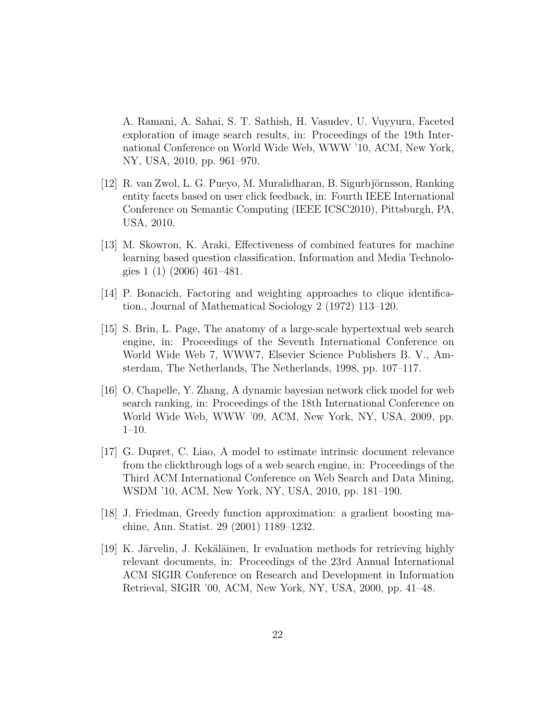A. Ramani, A. Sahai, S. T. Sathish, H. Vasudev, U. Vuyyuru, Faceted exploration of image search results, in: Proceedings of the 19th International Conference on World Wide Web, WWW '10, ACM, New York, NY, USA, 2010, pp. 961–970.

- [12] R. van Zwol, L. G. Pueyo, M. Muralidharan, B. Sigurbjörnsson, Ranking entity facets based on user click feedback, in: Fourth IEEE International Conference on Semantic Computing (IEEE ICSC2010), Pittsburgh, PA, USA, 2010.
- [13] M. Skowron, K. Araki, Effectiveness of combined features for machine learning based question classification, Information and Media Technologies 1 (1) (2006) 461–481.
- [14] P. Bonacich, Factoring and weighting approaches to clique identification., Journal of Mathematical Sociology 2 (1972) 113–120.
- [15] S. Brin, L. Page, The anatomy of a large-scale hypertextual web search engine, in: Proceedings of the Seventh International Conference on World Wide Web 7, WWW7, Elsevier Science Publishers B. V., Amsterdam, The Netherlands, The Netherlands, 1998, pp. 107–117.
- [16] O. Chapelle, Y. Zhang, A dynamic bayesian network click model for web search ranking, in: Proceedings of the 18th International Conference on World Wide Web, WWW '09, ACM, New York, NY, USA, 2009, pp. 1–10.
- [17] G. Dupret, C. Liao, A model to estimate intrinsic document relevance from the clickthrough logs of a web search engine, in: Proceedings of the Third ACM International Conference on Web Search and Data Mining, WSDM '10, ACM, New York, NY, USA, 2010, pp. 181–190.
- [18] J. Friedman, Greedy function approximation: a gradient boosting machine, Ann. Statist. 29 (2001) 1189–1232.
- [19] K. Järvelin, J. Kekäläinen, Ir evaluation methods for retrieving highly relevant documents, in: Proceedings of the 23rd Annual International ACM SIGIR Conference on Research and Development in Information Retrieval, SIGIR '00, ACM, New York, NY, USA, 2000, pp. 41–48.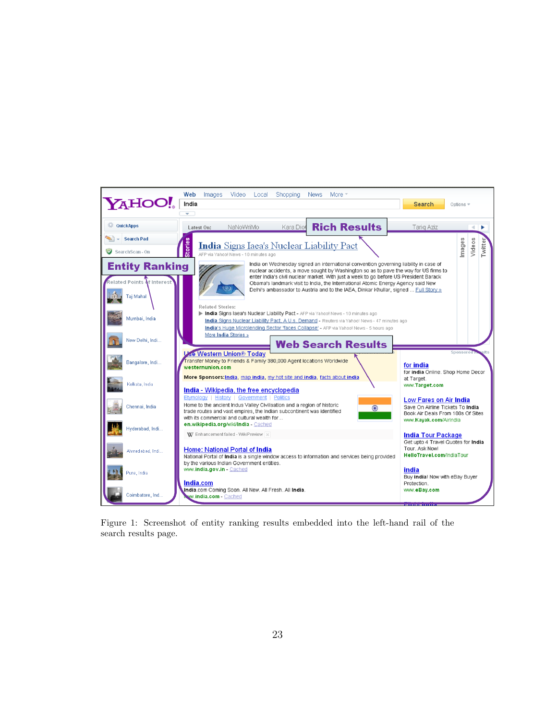

Figure 1: Screenshot of entity ranking results embedded into the left-hand rail of the search results page.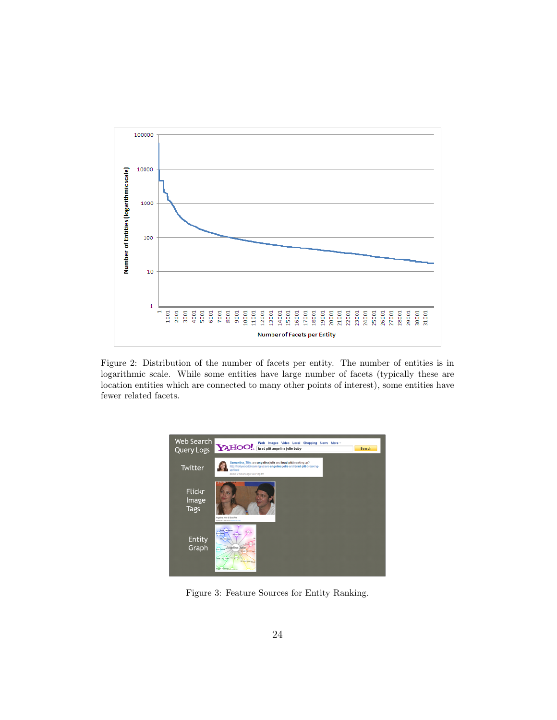

Figure 2: Distribution of the number of facets per entity. The number of entities is in logarithmic scale. While some entities have large number of facets (typically these are location entities which are connected to many other points of interest), some entities have fewer related facets.



Figure 3: Feature Sources for Entity Ranking.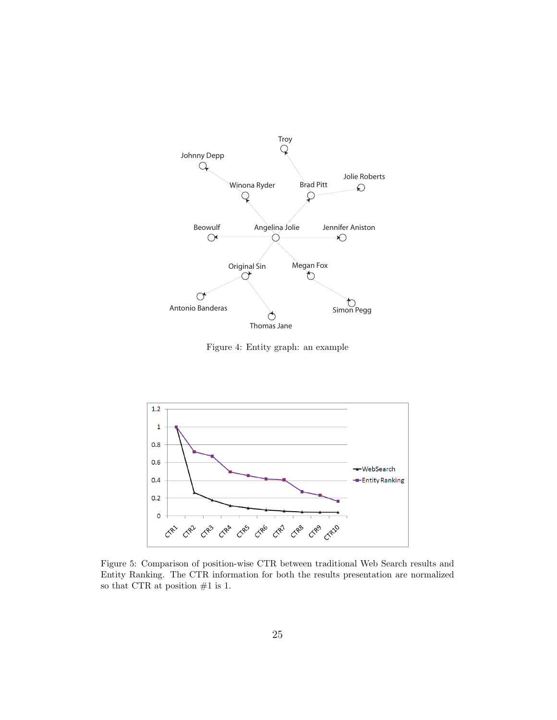

Figure 4: Entity graph: an example



Figure 5: Comparison of position-wise CTR between traditional Web Search results and Entity Ranking. The CTR information for both the results presentation are normalized so that CTR at position #1 is 1.